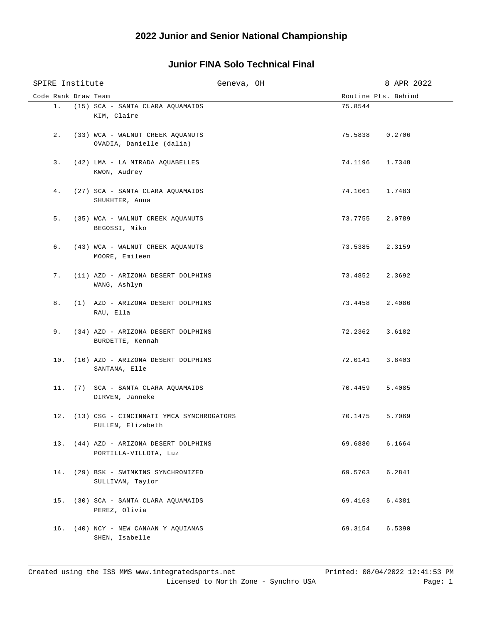## **Junior FINA Solo Technical Final**

| SPIRE Institute     |                                                                   | Geneva, OH |                     | 8 APR 2022 |
|---------------------|-------------------------------------------------------------------|------------|---------------------|------------|
| Code Rank Draw Team |                                                                   |            | Routine Pts. Behind |            |
|                     | 1. (15) SCA - SANTA CLARA AQUAMAIDS<br>KIM, Claire                |            | 75.8544             |            |
| 2.                  | (33) WCA - WALNUT CREEK AQUANUTS<br>OVADIA, Danielle (dalia)      |            | 75.5838 0.2706      |            |
| 3.                  | (42) LMA - LA MIRADA AQUABELLES<br>KWON, Audrey                   |            | 74.1196             | 1.7348     |
| 4.                  | (27) SCA - SANTA CLARA AQUAMAIDS<br>SHUKHTER, Anna                |            | 74.1061 1.7483      |            |
| 5.                  | (35) WCA - WALNUT CREEK AQUANUTS<br>BEGOSSI, Miko                 |            | 73.7755 2.0789      |            |
| б.                  | (43) WCA - WALNUT CREEK AQUANUTS<br>MOORE, Emileen                |            | 73.5385 2.3159      |            |
| 7.                  | (11) AZD - ARIZONA DESERT DOLPHINS<br>WANG, Ashlyn                |            | 73.4852 2.3692      |            |
| 8.                  | (1) AZD - ARIZONA DESERT DOLPHINS<br>RAU, Ella                    |            | 73.4458 2.4086      |            |
| 9.                  | (34) AZD - ARIZONA DESERT DOLPHINS<br>BURDETTE, Kennah            |            | 72.2362             | 3.6182     |
|                     | 10. (10) AZD - ARIZONA DESERT DOLPHINS<br>SANTANA, Elle           |            | 72.0141             | 3.8403     |
|                     | 11. (7) SCA - SANTA CLARA AQUAMAIDS<br>DIRVEN, Janneke            |            | 70.4459             | 5.4085     |
|                     | 12. (13) CSG - CINCINNATI YMCA SYNCHROGATORS<br>FULLEN, Elizabeth |            | 70.1475             | 5.7069     |
|                     | 13. (44) AZD - ARIZONA DESERT DOLPHINS<br>PORTILLA-VILLOTA, Luz   |            | 69.6880             | 6.1664     |
|                     | 14. (29) BSK - SWIMKINS SYNCHRONIZED<br>SULLIVAN, Taylor          |            | 69.5703             | 6.2841     |
|                     | 15. (30) SCA - SANTA CLARA AQUAMAIDS<br>PEREZ, Olivia             |            | 69.4163             | 6.4381     |
|                     | 16. (40) NCY - NEW CANAAN Y AQUIANAS<br>SHEN, Isabelle            |            | 69.3154             | 6.5390     |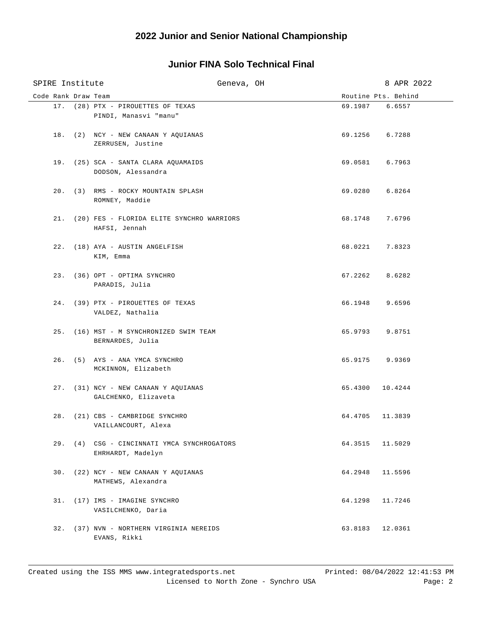## **Junior FINA Solo Technical Final**

| SPIRE Institute     | Geneva, OH                                                       |                 | 8 APR 2022          |
|---------------------|------------------------------------------------------------------|-----------------|---------------------|
| Code Rank Draw Team |                                                                  |                 | Routine Pts. Behind |
|                     | 17. (28) PTX - PIROUETTES OF TEXAS<br>PINDI, Manasvi "manu"      | 69.1987 6.6557  |                     |
|                     | 18. (2) NCY - NEW CANAAN Y AQUIANAS<br>ZERRUSEN, Justine         | 69.1256 6.7288  |                     |
|                     | 19. (25) SCA - SANTA CLARA AQUAMAIDS<br>DODSON, Alessandra       | 69.0581 6.7963  |                     |
|                     | 20. (3) RMS - ROCKY MOUNTAIN SPLASH<br>ROMNEY, Maddie            | 69.0280 6.8264  |                     |
|                     | 21. (20) FES - FLORIDA ELITE SYNCHRO WARRIORS<br>HAFSI, Jennah   | 68.1748 7.6796  |                     |
|                     | 22. (18) AYA - AUSTIN ANGELFISH<br>KIM, Emma                     | 68.0221 7.8323  |                     |
|                     | 23. (36) OPT - OPTIMA SYNCHRO<br>PARADIS, Julia                  | 67.2262 8.6282  |                     |
|                     | 24. (39) PTX - PIROUETTES OF TEXAS<br>VALDEZ, Nathalia           | 66.1948 9.6596  |                     |
|                     | 25. (16) MST - M SYNCHRONIZED SWIM TEAM<br>BERNARDES, Julia      | 65.9793 9.8751  |                     |
|                     | 26. (5) AYS - ANA YMCA SYNCHRO<br>MCKINNON, Elizabeth            | 65.9175 9.9369  |                     |
|                     | 27. (31) NCY - NEW CANAAN Y AQUIANAS<br>GALCHENKO, Elizaveta     | 65.4300 10.4244 |                     |
|                     | 28. (21) CBS - CAMBRIDGE SYNCHRO<br>VAILLANCOURT, Alexa          | 64.4705 11.3839 |                     |
|                     | 29. (4) CSG - CINCINNATI YMCA SYNCHROGATORS<br>EHRHARDT, Madelyn | 64.3515         | 11.5029             |
|                     | 30. (22) NCY - NEW CANAAN Y AQUIANAS<br>MATHEWS, Alexandra       | 64.2948         | 11.5596             |
|                     | 31. (17) IMS - IMAGINE SYNCHRO<br>VASILCHENKO, Daria             | 64.1298         | 11.7246             |
|                     | 32. (37) NVN - NORTHERN VIRGINIA NEREIDS<br>EVANS, Rikki         | 63.8183         | 12.0361             |